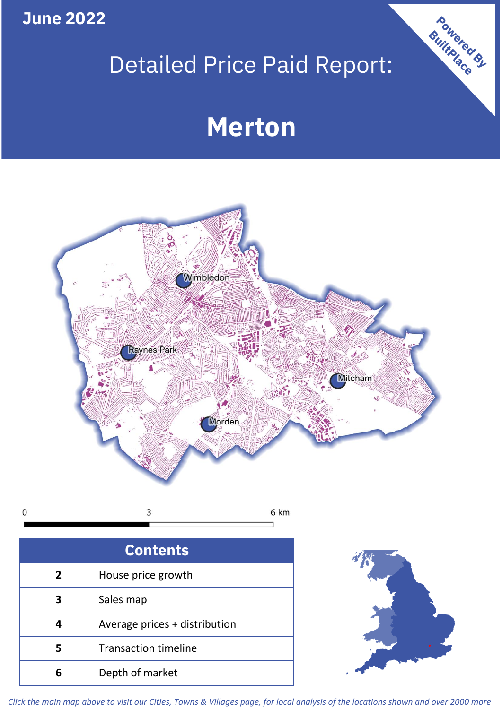**June 2022**

# Detailed Price Paid Report:

# **Merton**



 $\mathbf 0$ 3 6 km

| <b>Contents</b> |                               |  |  |
|-----------------|-------------------------------|--|--|
| $\overline{2}$  | House price growth            |  |  |
| 3               | Sales map                     |  |  |
|                 | Average prices + distribution |  |  |
| 5               | <b>Transaction timeline</b>   |  |  |
|                 | Depth of market               |  |  |



Powered By

*Click the main map above to visit our Cities, Towns & Villages page, for local analysis of the locations shown and over 2000 more*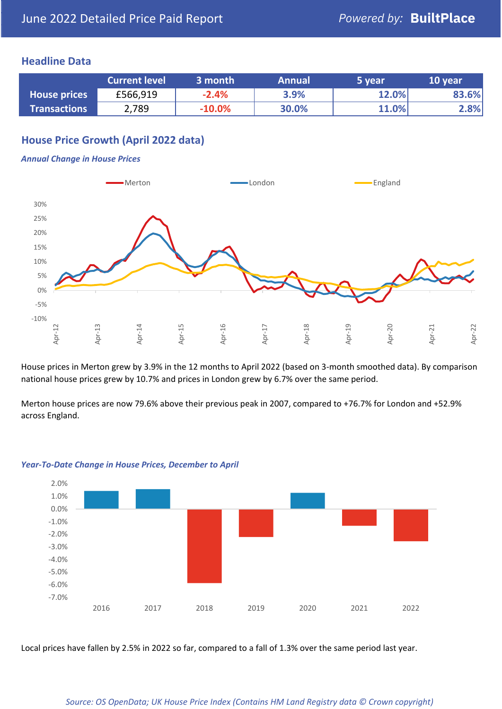### **Headline Data**

|                     | <b>Current level</b> | 3 month  | <b>Annual</b> | 5 year | 10 year |
|---------------------|----------------------|----------|---------------|--------|---------|
| <b>House prices</b> | £566,919             | $-2.4%$  | 3.9%          | 12.0%  | 83.6%   |
| <b>Transactions</b> | 2,789                | $-10.0%$ | 30.0%         | 11.0%  | 2.8%    |

# **House Price Growth (April 2022 data)**

#### *Annual Change in House Prices*



House prices in Merton grew by 3.9% in the 12 months to April 2022 (based on 3-month smoothed data). By comparison national house prices grew by 10.7% and prices in London grew by 6.7% over the same period.

Merton house prices are now 79.6% above their previous peak in 2007, compared to +76.7% for London and +52.9% across England.



#### *Year-To-Date Change in House Prices, December to April*

Local prices have fallen by 2.5% in 2022 so far, compared to a fall of 1.3% over the same period last year.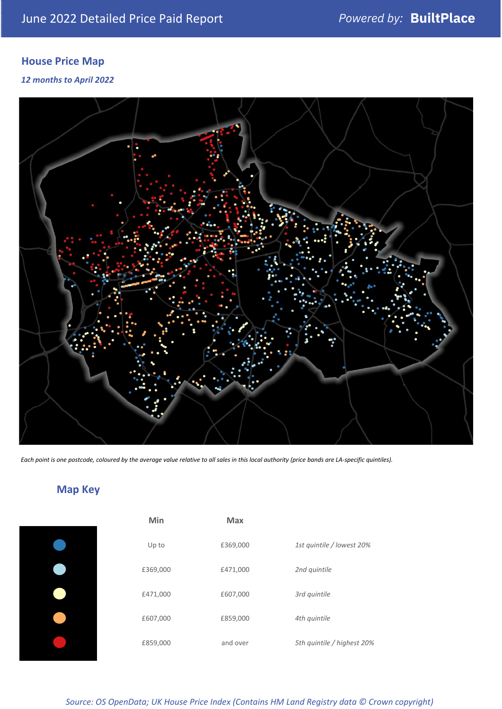# **House Price Map**

*12 months to April 2022*



*Each point is one postcode, coloured by the average value relative to all sales in this local authority (price bands are LA-specific quintiles).*

# **Map Key**

| Min      | <b>Max</b> |                            |
|----------|------------|----------------------------|
| Up to    | £369,000   | 1st quintile / lowest 20%  |
| £369,000 | £471,000   | 2nd quintile               |
| £471,000 | £607,000   | 3rd quintile               |
| £607,000 | £859,000   | 4th quintile               |
| £859,000 | and over   | 5th quintile / highest 20% |
|          |            |                            |

*Source: OS OpenData; UK House Price Index (Contains HM Land Registry data © Crown copyright)*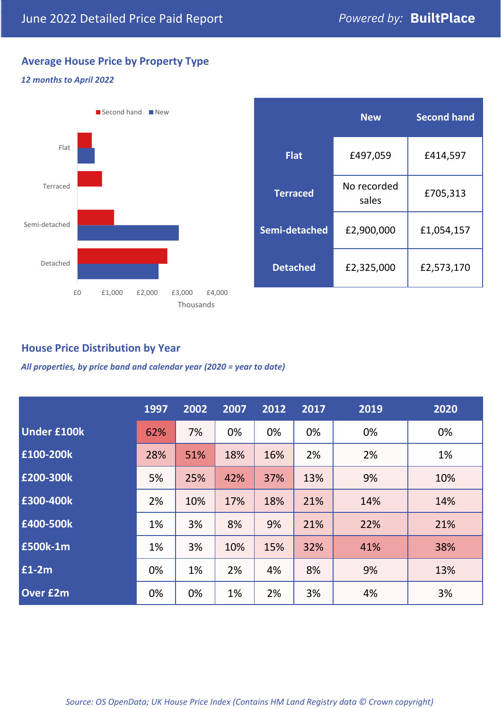# **Average House Price by Property Type**

#### *12 months to April 2022*



|                 | <b>New</b>           | <b>Second hand</b> |  |  |
|-----------------|----------------------|--------------------|--|--|
| <b>Flat</b>     | £497,059             | £414,597           |  |  |
| <b>Terraced</b> | No recorded<br>sales | £705,313           |  |  |
| Semi-detached   | £2,900,000           | £1,054,157         |  |  |
| <b>Detached</b> | £2,325,000           | £2,573,170         |  |  |

# **House Price Distribution by Year**

*All properties, by price band and calendar year (2020 = year to date)*

|                    | 1997 | 2002 | 2007 | 2012 | 2017 | 2019 | 2020 |
|--------------------|------|------|------|------|------|------|------|
| <b>Under £100k</b> | 62%  | 7%   | 0%   | 0%   | 0%   | 0%   | 0%   |
| £100-200k          | 28%  | 51%  | 18%  | 16%  | 2%   | 2%   | 1%   |
| E200-300k          | 5%   | 25%  | 42%  | 37%  | 13%  | 9%   | 10%  |
| £300-400k          | 2%   | 10%  | 17%  | 18%  | 21%  | 14%  | 14%  |
| £400-500k          | 1%   | 3%   | 8%   | 9%   | 21%  | 22%  | 21%  |
| <b>£500k-1m</b>    | 1%   | 3%   | 10%  | 15%  | 32%  | 41%  | 38%  |
| £1-2m              | 0%   | 1%   | 2%   | 4%   | 8%   | 9%   | 13%  |
| <b>Over £2m</b>    | 0%   | 0%   | 1%   | 2%   | 3%   | 4%   | 3%   |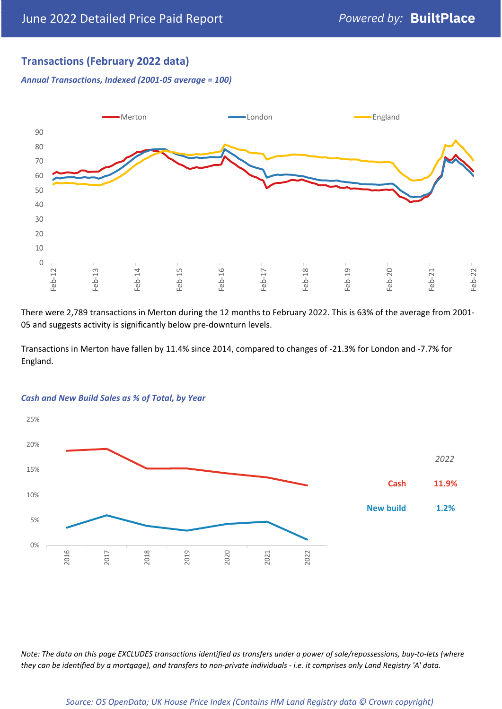# **Transactions (February 2022 data)**

*Annual Transactions, Indexed (2001-05 average = 100)*



There were 2,789 transactions in Merton during the 12 months to February 2022. This is 63% of the average from 2001- 05 and suggests activity is significantly below pre-downturn levels.

Transactions in Merton have fallen by 11.4% since 2014, compared to changes of -21.3% for London and -7.7% for England.



#### *Cash and New Build Sales as % of Total, by Year*

*Note: The data on this page EXCLUDES transactions identified as transfers under a power of sale/repossessions, buy-to-lets (where they can be identified by a mortgage), and transfers to non-private individuals - i.e. it comprises only Land Registry 'A' data.*